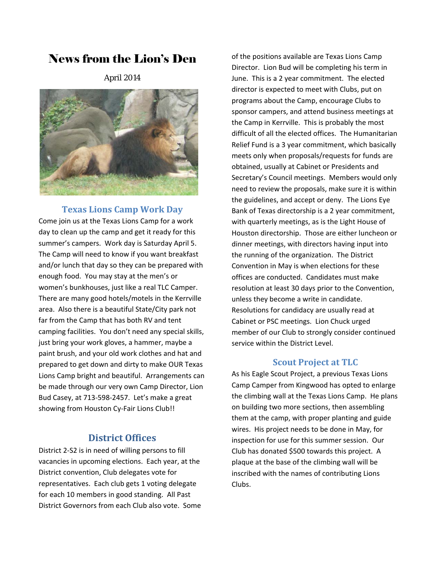# News from the Lion's Den

April 2014



## **Texas Lions Camp Work Day**

Come join us at the Texas Lions Camp for a work day to clean up the camp and get it ready for this summer's campers. Work day is Saturday April 5. The Camp will need to know if you want breakfast and/or lunch that day so they can be prepared with enough food. You may stay at the men's or women's bunkhouses, just like a real TLC Camper. There are many good hotels/motels in the Kerrville area. Also there is a beautiful State/City park not far from the Camp that has both RV and tent camping facilities. You don't need any special skills, just bring your work gloves, a hammer, maybe a paint brush, and your old work clothes and hat and prepared to get down and dirty to make OUR Texas Lions Camp bright and beautiful. Arrangements can be made through our very own Camp Director, Lion Bud Casey, at 713‐598‐2457. Let's make a great showing from Houston Cy-Fair Lions Club!!

## **District Offices**

District 2‐S2 is in need of willing persons to fill vacancies in upcoming elections. Each year, at the District convention, Club delegates vote for representatives. Each club gets 1 voting delegate for each 10 members in good standing. All Past District Governors from each Club also vote. Some

of the positions available are Texas Lions Camp Director. Lion Bud will be completing his term in June. This is a 2 year commitment. The elected director is expected to meet with Clubs, put on programs about the Camp, encourage Clubs to sponsor campers, and attend business meetings at the Camp in Kerrville. This is probably the most difficult of all the elected offices. The Humanitarian Relief Fund is a 3 year commitment, which basically meets only when proposals/requests for funds are obtained, usually at Cabinet or Presidents and Secretary's Council meetings. Members would only need to review the proposals, make sure it is within the guidelines, and accept or deny. The Lions Eye Bank of Texas directorship is a 2 year commitment, with quarterly meetings, as is the Light House of Houston directorship. Those are either luncheon or dinner meetings, with directors having input into the running of the organization. The District Convention in May is when elections for these offices are conducted. Candidates must make resolution at least 30 days prior to the Convention, unless they become a write in candidate. Resolutions for candidacy are usually read at Cabinet or PSC meetings. Lion Chuck urged member of our Club to strongly consider continued service within the District Level.

## **Scout Project at TLC**

As his Eagle Scout Project, a previous Texas Lions Camp Camper from Kingwood has opted to enlarge the climbing wall at the Texas Lions Camp. He plans on building two more sections, then assembling them at the camp, with proper planting and guide wires. His project needs to be done in May, for inspection for use for this summer session. Our Club has donated \$500 towards this project. A plaque at the base of the climbing wall will be inscribed with the names of contributing Lions Clubs.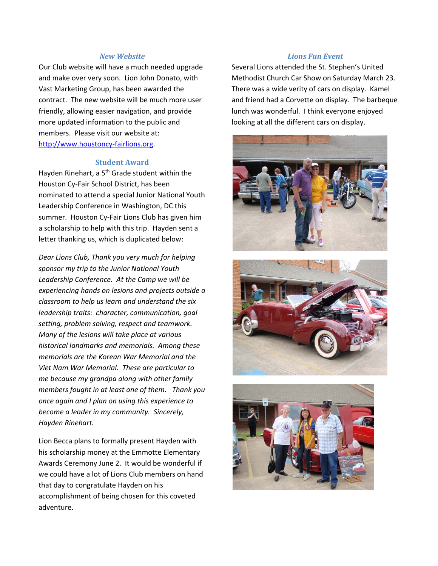#### *New Website*

Our Club website will have a much needed upgrade and make over very soon. Lion John Donato, with Vast Marketing Group, has been awarded the contract. The new website will be much more user friendly, allowing easier navigation, and provide more updated information to the public and members. Please visit our website at: http://www.houstoncy‐fairlions.org.

#### **Student Award**

Hayden Rinehart, a 5<sup>th</sup> Grade student within the Houston Cy‐Fair School District, has been nominated to attend a special Junior National Youth Leadership Conference in Washington, DC this summer. Houston Cy-Fair Lions Club has given him a scholarship to help with this trip. Hayden sent a letter thanking us, which is duplicated below:

*Dear Lions Club, Thank you very much for helping sponsor my trip to the Junior National Youth Leadership Conference. At the Camp we will be experiencing hands on lesions and projects outside a classroom to help us learn and understand the six leadership traits: character, communication, goal setting, problem solving, respect and teamwork. Many of the lesions will take place at various historical landmarks and memorials. Among these memorials are the Korean War Memorial and the Viet Nam War Memorial. These are particular to me because my grandpa along with other family members fought in at least one of them. Thank you once again and I plan on using this experience to become a leader in my community. Sincerely, Hayden Rinehart.*

Lion Becca plans to formally present Hayden with his scholarship money at the Emmotte Elementary Awards Ceremony June 2. It would be wonderful if we could have a lot of Lions Club members on hand that day to congratulate Hayden on his accomplishment of being chosen for this coveted adventure.

#### *Lions Fun Event*

Several Lions attended the St. Stephen's United Methodist Church Car Show on Saturday March 23. There was a wide verity of cars on display. Kamel and friend had a Corvette on display. The barbeque lunch was wonderful. I think everyone enjoyed looking at all the different cars on display.